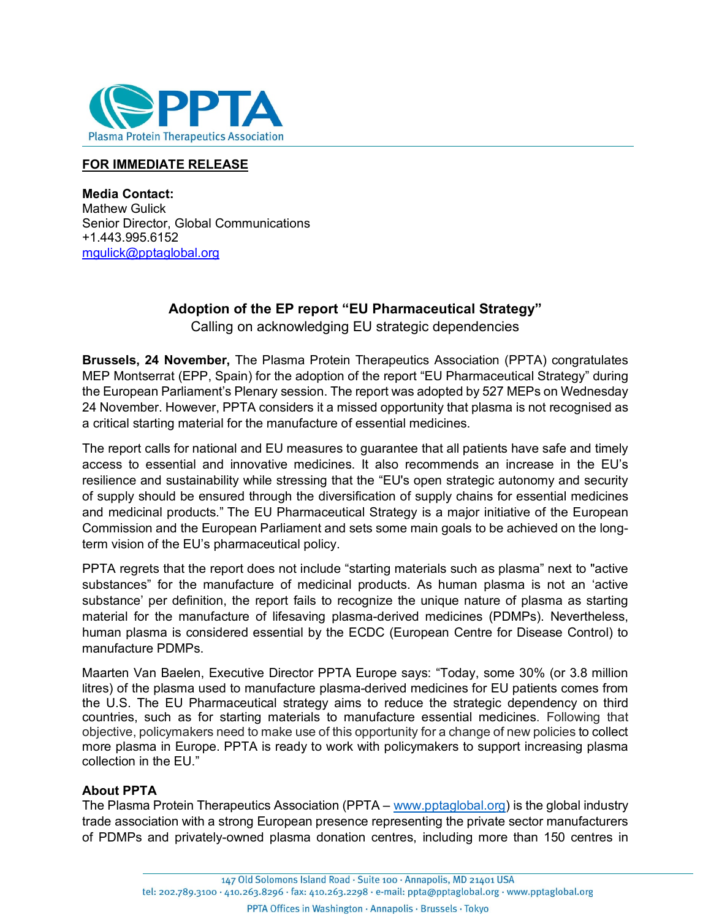

## **FOR IMMEDIATE RELEASE**

**Media Contact:** Mathew Gulick Senior Director, Global Communications +1.443.995.6152 [mgulick@pptaglobal.org](mailto:mgulick@pptaglobal.org)

## **Adoption of the EP report "EU Pharmaceutical Strategy"**

Calling on acknowledging EU strategic dependencies

**Brussels, 24 November,** The Plasma Protein Therapeutics Association (PPTA) congratulates MEP Montserrat (EPP, Spain) for the adoption of the report "EU Pharmaceutical Strategy" during the European Parliament's Plenary session. The report was adopted by 527 MEPs on Wednesday 24 November. However, PPTA considers it a missed opportunity that plasma is not recognised as a critical starting material for the manufacture of essential medicines.

The report calls for national and EU measures to guarantee that all patients have safe and timely access to essential and innovative medicines. It also recommends an increase in the EU's resilience and sustainability while stressing that the "EU's open strategic autonomy and security of supply should be ensured through the diversification of supply chains for essential medicines and medicinal products." The EU Pharmaceutical Strategy is a major initiative of the European Commission and the European Parliament and sets some main goals to be achieved on the longterm vision of the EU's pharmaceutical policy.

PPTA regrets that the report does not include "starting materials such as plasma" next to "active substances" for the manufacture of medicinal products. As human plasma is not an 'active substance' per definition, the report fails to recognize the unique nature of plasma as starting material for the manufacture of lifesaving plasma-derived medicines (PDMPs). Nevertheless, human plasma is considered essential by the ECDC (European Centre for Disease Control) to manufacture PDMPs.

Maarten Van Baelen, Executive Director PPTA Europe says: "Today, some 30% (or 3.8 million litres) of the plasma used to manufacture plasma-derived medicines for EU patients comes from the U.S. The EU Pharmaceutical strategy aims to reduce the strategic dependency on third countries, such as for starting materials to manufacture essential medicines. Following that objective, policymakers need to make use of this opportunity for a change of new policies to collect more plasma in Europe. PPTA is ready to work with policymakers to support increasing plasma collection in the EU."

## **About PPTA**

The Plasma Protein Therapeutics Association (PPTA – [www.pptaglobal.org\)](http://www.pptaglobal.org/) is the global industry trade association with a strong European presence representing the private sector manufacturers of PDMPs and privately-owned plasma donation centres, including more than 150 centres in